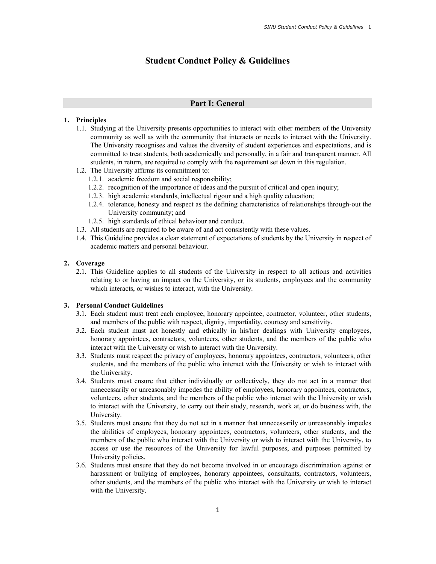# Student Conduct Policy & Guidelines

## Part I: General

#### 1. Principles

- 1.1. Studying at the University presents opportunities to interact with other members of the University community as well as with the community that interacts or needs to interact with the University. The University recognises and values the diversity of student experiences and expectations, and is committed to treat students, both academically and personally, in a fair and transparent manner. All students, in return, are required to comply with the requirement set down in this regulation.
- 1.2. The University affirms its commitment to:
	- 1.2.1. academic freedom and social responsibility;
	- 1.2.2. recognition of the importance of ideas and the pursuit of critical and open inquiry;
	- 1.2.3. high academic standards, intellectual rigour and a high quality education;
	- 1.2.4. tolerance, honesty and respect as the defining characteristics of relationships through-out the University community; and
	- 1.2.5. high standards of ethical behaviour and conduct.
- 1.3. All students are required to be aware of and act consistently with these values.
- 1.4. This Guideline provides a clear statement of expectations of students by the University in respect of academic matters and personal behaviour.

#### 2. Coverage

2.1. This Guideline applies to all students of the University in respect to all actions and activities relating to or having an impact on the University, or its students, employees and the community which interacts, or wishes to interact, with the University.

## 3. Personal Conduct Guidelines

- 3.1. Each student must treat each employee, honorary appointee, contractor, volunteer, other students, and members of the public with respect, dignity, impartiality, courtesy and sensitivity.
- 3.2. Each student must act honestly and ethically in his/her dealings with University employees, honorary appointees, contractors, volunteers, other students, and the members of the public who interact with the University or wish to interact with the University.
- 3.3. Students must respect the privacy of employees, honorary appointees, contractors, volunteers, other students, and the members of the public who interact with the University or wish to interact with the University.
- 3.4. Students must ensure that either individually or collectively, they do not act in a manner that unnecessarily or unreasonably impedes the ability of employees, honorary appointees, contractors, volunteers, other students, and the members of the public who interact with the University or wish to interact with the University, to carry out their study, research, work at, or do business with, the University.
- 3.5. Students must ensure that they do not act in a manner that unnecessarily or unreasonably impedes the abilities of employees, honorary appointees, contractors, volunteers, other students, and the members of the public who interact with the University or wish to interact with the University, to access or use the resources of the University for lawful purposes, and purposes permitted by University policies.
- 3.6. Students must ensure that they do not become involved in or encourage discrimination against or harassment or bullying of employees, honorary appointees, consultants, contractors, volunteers, other students, and the members of the public who interact with the University or wish to interact with the University.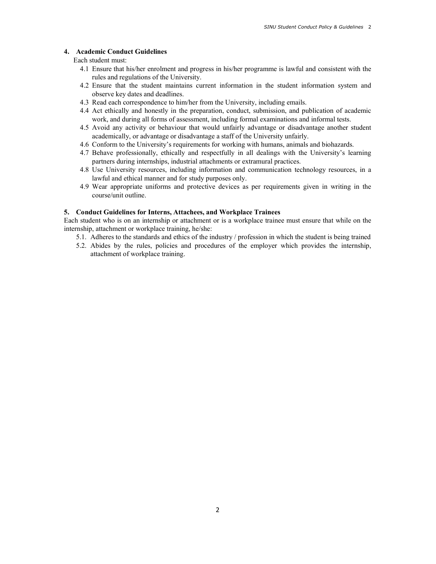## 4. Academic Conduct Guidelines

Each student must:

- 4.1 Ensure that his/her enrolment and progress in his/her programme is lawful and consistent with the rules and regulations of the University.
- 4.2 Ensure that the student maintains current information in the student information system and observe key dates and deadlines.
- 4.3 Read each correspondence to him/her from the University, including emails.
- 4.4 Act ethically and honestly in the preparation, conduct, submission, and publication of academic work, and during all forms of assessment, including formal examinations and informal tests.
- 4.5 Avoid any activity or behaviour that would unfairly advantage or disadvantage another student academically, or advantage or disadvantage a staff of the University unfairly.
- 4.6 Conform to the University's requirements for working with humans, animals and biohazards.
- 4.7 Behave professionally, ethically and respectfully in all dealings with the University's learning partners during internships, industrial attachments or extramural practices.
- 4.8 Use University resources, including information and communication technology resources, in a lawful and ethical manner and for study purposes only.
- 4.9 Wear appropriate uniforms and protective devices as per requirements given in writing in the course/unit outline.

#### 5. Conduct Guidelines for Interns, Attachees, and Workplace Trainees

Each student who is on an internship or attachment or is a workplace trainee must ensure that while on the internship, attachment or workplace training, he/she:

- 5.1. Adheres to the standards and ethics of the industry / profession in which the student is being trained
- 5.2. Abides by the rules, policies and procedures of the employer which provides the internship, attachment of workplace training.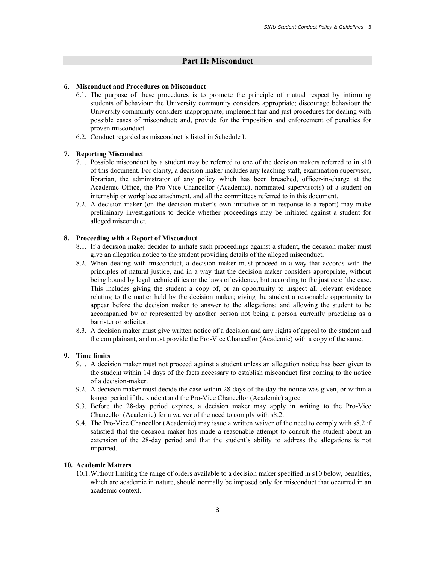# Part II: Misconduct

### 6. Misconduct and Procedures on Misconduct

- 6.1. The purpose of these procedures is to promote the principle of mutual respect by informing students of behaviour the University community considers appropriate; discourage behaviour the University community considers inappropriate; implement fair and just procedures for dealing with possible cases of misconduct; and, provide for the imposition and enforcement of penalties for proven misconduct.
- 6.2. Conduct regarded as misconduct is listed in Schedule I.

### 7. Reporting Misconduct

- 7.1. Possible misconduct by a student may be referred to one of the decision makers referred to in s10 of this document. For clarity, a decision maker includes any teaching staff, examination supervisor, librarian, the administrator of any policy which has been breached, officer-in-charge at the Academic Office, the Pro-Vice Chancellor (Academic), nominated supervisor(s) of a student on internship or workplace attachment, and all the committees referred to in this document.
- 7.2. A decision maker (on the decision maker's own initiative or in response to a report) may make preliminary investigations to decide whether proceedings may be initiated against a student for alleged misconduct.

### 8. Proceeding with a Report of Misconduct

- 8.1. If a decision maker decides to initiate such proceedings against a student, the decision maker must give an allegation notice to the student providing details of the alleged misconduct.
- 8.2. When dealing with misconduct, a decision maker must proceed in a way that accords with the principles of natural justice, and in a way that the decision maker considers appropriate, without being bound by legal technicalities or the laws of evidence, but according to the justice of the case. This includes giving the student a copy of, or an opportunity to inspect all relevant evidence relating to the matter held by the decision maker; giving the student a reasonable opportunity to appear before the decision maker to answer to the allegations; and allowing the student to be accompanied by or represented by another person not being a person currently practicing as a barrister or solicitor.
- 8.3. A decision maker must give written notice of a decision and any rights of appeal to the student and the complainant, and must provide the Pro-Vice Chancellor (Academic) with a copy of the same.

## 9. Time limits

- 9.1. A decision maker must not proceed against a student unless an allegation notice has been given to the student within 14 days of the facts necessary to establish misconduct first coming to the notice of a decision-maker.
- 9.2. A decision maker must decide the case within 28 days of the day the notice was given, or within a longer period if the student and the Pro-Vice Chancellor (Academic) agree.
- 9.3. Before the 28-day period expires, a decision maker may apply in writing to the Pro-Vice Chancellor (Academic) for a waiver of the need to comply with s8.2.
- 9.4. The Pro-Vice Chancellor (Academic) may issue a written waiver of the need to comply with s8.2 if satisfied that the decision maker has made a reasonable attempt to consult the student about an extension of the 28-day period and that the student's ability to address the allegations is not impaired.

#### 10. Academic Matters

10.1.Without limiting the range of orders available to a decision maker specified in s10 below, penalties, which are academic in nature, should normally be imposed only for misconduct that occurred in an academic context.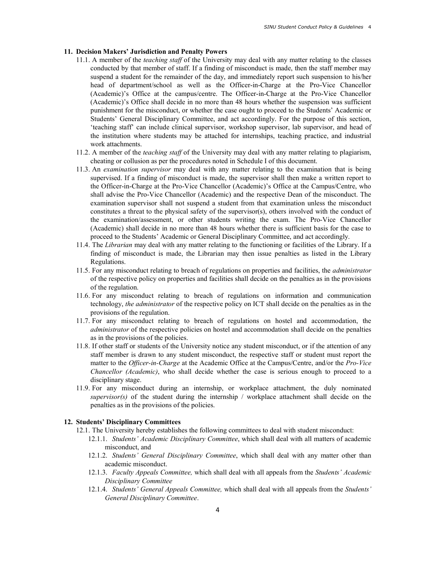### 11. Decision Makers' Jurisdiction and Penalty Powers

- 11.1. A member of the *teaching staff* of the University may deal with any matter relating to the classes conducted by that member of staff. If a finding of misconduct is made, then the staff member may suspend a student for the remainder of the day, and immediately report such suspension to his/her head of department/school as well as the Officer-in-Charge at the Pro-Vice Chancellor (Academic)'s Office at the campus/centre. The Officer-in-Charge at the Pro-Vice Chancellor (Academic)'s Office shall decide in no more than 48 hours whether the suspension was sufficient punishment for the misconduct, or whether the case ought to proceed to the Students' Academic or Students' General Disciplinary Committee, and act accordingly. For the purpose of this section, 'teaching staff' can include clinical supervisor, workshop supervisor, lab supervisor, and head of the institution where students may be attached for internships, teaching practice, and industrial work attachments.
- 11.2. A member of the teaching staff of the University may deal with any matter relating to plagiarism, cheating or collusion as per the procedures noted in Schedule I of this document.
- 11.3. An *examination supervisor* may deal with any matter relating to the examination that is being supervised. If a finding of misconduct is made, the supervisor shall then make a written report to the Officer-in-Charge at the Pro-Vice Chancellor (Academic)'s Office at the Campus/Centre, who shall advise the Pro-Vice Chancellor (Academic) and the respective Dean of the misconduct. The examination supervisor shall not suspend a student from that examination unless the misconduct constitutes a threat to the physical safety of the supervisor(s), others involved with the conduct of the examination/assessment, or other students writing the exam. The Pro-Vice Chancellor (Academic) shall decide in no more than 48 hours whether there is sufficient basis for the case to proceed to the Students' Academic or General Disciplinary Committee, and act accordingly.
- 11.4. The Librarian may deal with any matter relating to the functioning or facilities of the Library. If a finding of misconduct is made, the Librarian may then issue penalties as listed in the Library Regulations.
- 11.5. For any misconduct relating to breach of regulations on properties and facilities, the *administrator* of the respective policy on properties and facilities shall decide on the penalties as in the provisions of the regulation.
- 11.6. For any misconduct relating to breach of regulations on information and communication technology, the administrator of the respective policy on ICT shall decide on the penalties as in the provisions of the regulation.
- 11.7. For any misconduct relating to breach of regulations on hostel and accommodation, the administrator of the respective policies on hostel and accommodation shall decide on the penalties as in the provisions of the policies.
- 11.8. If other staff or students of the University notice any student misconduct, or if the attention of any staff member is drawn to any student misconduct, the respective staff or student must report the matter to the Officer-in-Charge at the Academic Office at the Campus/Centre, and/or the Pro-Vice Chancellor (Academic), who shall decide whether the case is serious enough to proceed to a disciplinary stage.
- 11.9. For any misconduct during an internship, or workplace attachment, the duly nominated  $supervisor(s)$  of the student during the internship / workplace attachment shall decide on the penalties as in the provisions of the policies.

## 12. Students' Disciplinary Committees

- 12.1. The University hereby establishes the following committees to deal with student misconduct:
	- 12.1.1. Students' Academic Disciplinary Committee, which shall deal with all matters of academic misconduct, and
	- 12.1.2. Students' General Disciplinary Committee, which shall deal with any matter other than academic misconduct.
	- 12.1.3. Faculty Appeals Committee, which shall deal with all appeals from the Students' Academic Disciplinary Committee
	- 12.1.4. Students' General Appeals Committee, which shall deal with all appeals from the Students' General Disciplinary Committee.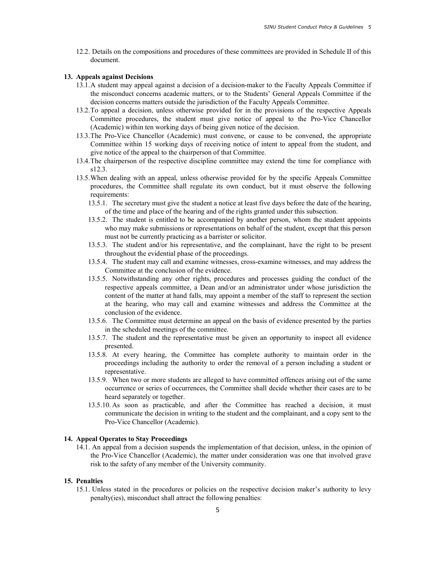12.2. Details on the compositions and procedures of these committees are provided in Schedule II of this document.

### 13. Appeals against Decisions

- 13.1.A student may appeal against a decision of a decision-maker to the Faculty Appeals Committee if the misconduct concerns academic matters, or to the Students' General Appeals Committee if the decision concerns matters outside the jurisdiction of the Faculty Appeals Committee.
- 13.2.To appeal a decision, unless otherwise provided for in the provisions of the respective Appeals Committee procedures, the student must give notice of appeal to the Pro-Vice Chancellor (Academic) within ten working days of being given notice of the decision.
- 13.3.The Pro-Vice Chancellor (Academic) must convene, or cause to be convened, the appropriate Committee within 15 working days of receiving notice of intent to appeal from the student, and give notice of the appeal to the chairperson of that Committee.
- 13.4.The chairperson of the respective discipline committee may extend the time for compliance with s12.3.
- 13.5.When dealing with an appeal, unless otherwise provided for by the specific Appeals Committee procedures, the Committee shall regulate its own conduct, but it must observe the following requirements:
	- 13.5.1. The secretary must give the student a notice at least five days before the date of the hearing, of the time and place of the hearing and of the rights granted under this subsection.
	- 13.5.2. The student is entitled to be accompanied by another person, whom the student appoints who may make submissions or representations on behalf of the student, except that this person must not be currently practicing as a barrister or solicitor.
	- 13.5.3. The student and/or his representative, and the complainant, have the right to be present throughout the evidential phase of the proceedings.
	- 13.5.4. The student may call and examine witnesses, cross-examine witnesses, and may address the Committee at the conclusion of the evidence.
	- 13.5.5. Notwithstanding any other rights, procedures and processes guiding the conduct of the respective appeals committee, a Dean and/or an administrator under whose jurisdiction the content of the matter at hand falls, may appoint a member of the staff to represent the section at the hearing, who may call and examine witnesses and address the Committee at the conclusion of the evidence.
	- 13.5.6. The Committee must determine an appeal on the basis of evidence presented by the parties in the scheduled meetings of the committee.
	- 13.5.7. The student and the representative must be given an opportunity to inspect all evidence presented.
	- 13.5.8. At every hearing, the Committee has complete authority to maintain order in the proceedings including the authority to order the removal of a person including a student or representative.
	- 13.5.9. When two or more students are alleged to have committed offences arising out of the same occurrence or series of occurrences, the Committee shall decide whether their cases are to be heard separately or together.
	- 13.5.10. As soon as practicable, and after the Committee has reached a decision, it must communicate the decision in writing to the student and the complainant, and a copy sent to the Pro-Vice Chancellor (Academic).

## 14. Appeal Operates to Stay Proceedings

14.1. An appeal from a decision suspends the implementation of that decision, unless, in the opinion of the Pro-Vice Chancellor (Academic), the matter under consideration was one that involved grave risk to the safety of any member of the University community.

### 15. Penalties

15.1. Unless stated in the procedures or policies on the respective decision maker's authority to levy penalty(ies), misconduct shall attract the following penalties: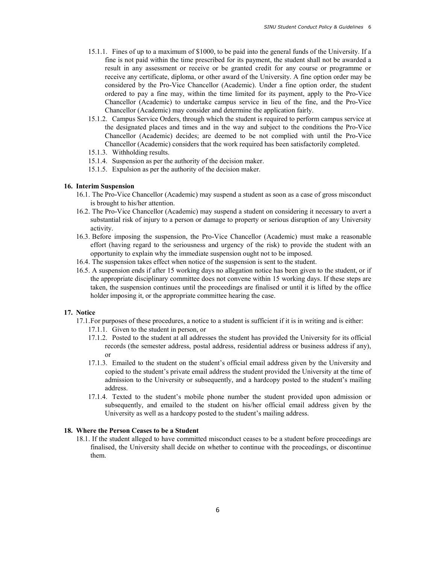- 15.1.1. Fines of up to a maximum of \$1000, to be paid into the general funds of the University. If a fine is not paid within the time prescribed for its payment, the student shall not be awarded a result in any assessment or receive or be granted credit for any course or programme or receive any certificate, diploma, or other award of the University. A fine option order may be considered by the Pro-Vice Chancellor (Academic). Under a fine option order, the student ordered to pay a fine may, within the time limited for its payment, apply to the Pro-Vice Chancellor (Academic) to undertake campus service in lieu of the fine, and the Pro-Vice Chancellor (Academic) may consider and determine the application fairly.
- 15.1.2. Campus Service Orders, through which the student is required to perform campus service at the designated places and times and in the way and subject to the conditions the Pro-Vice Chancellor (Academic) decides; are deemed to be not complied with until the Pro-Vice Chancellor (Academic) considers that the work required has been satisfactorily completed.
- 15.1.3. Withholding results.
- 15.1.4. Suspension as per the authority of the decision maker.
- 15.1.5. Expulsion as per the authority of the decision maker.

### 16. Interim Suspension

- 16.1. The Pro-Vice Chancellor (Academic) may suspend a student as soon as a case of gross misconduct is brought to his/her attention.
- 16.2. The Pro-Vice Chancellor (Academic) may suspend a student on considering it necessary to avert a substantial risk of injury to a person or damage to property or serious disruption of any University activity.
- 16.3. Before imposing the suspension, the Pro-Vice Chancellor (Academic) must make a reasonable effort (having regard to the seriousness and urgency of the risk) to provide the student with an opportunity to explain why the immediate suspension ought not to be imposed.
- 16.4. The suspension takes effect when notice of the suspension is sent to the student.
- 16.5. A suspension ends if after 15 working days no allegation notice has been given to the student, or if the appropriate disciplinary committee does not convene within 15 working days. If these steps are taken, the suspension continues until the proceedings are finalised or until it is lifted by the office holder imposing it, or the appropriate committee hearing the case.

## 17. Notice

- 17.1.For purposes of these procedures, a notice to a student is sufficient if it is in writing and is either:
	- 17.1.1. Given to the student in person, or
	- 17.1.2. Posted to the student at all addresses the student has provided the University for its official records (the semester address, postal address, residential address or business address if any), or
	- 17.1.3. Emailed to the student on the student's official email address given by the University and copied to the student's private email address the student provided the University at the time of admission to the University or subsequently, and a hardcopy posted to the student's mailing address.
	- 17.1.4. Texted to the student's mobile phone number the student provided upon admission or subsequently, and emailed to the student on his/her official email address given by the University as well as a hardcopy posted to the student's mailing address.

### 18. Where the Person Ceases to be a Student

18.1. If the student alleged to have committed misconduct ceases to be a student before proceedings are finalised, the University shall decide on whether to continue with the proceedings, or discontinue them.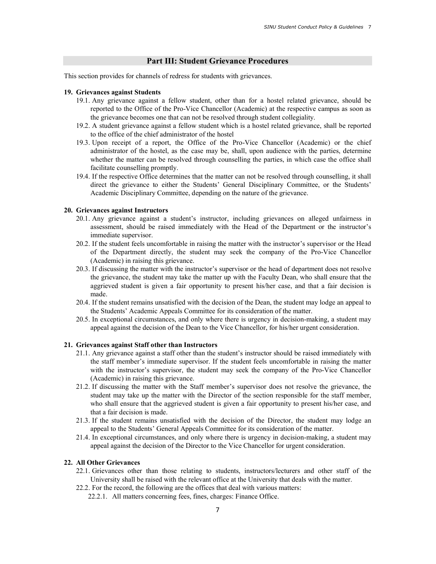## Part III: Student Grievance Procedures

This section provides for channels of redress for students with grievances.

#### 19. Grievances against Students

- 19.1. Any grievance against a fellow student, other than for a hostel related grievance, should be reported to the Office of the Pro-Vice Chancellor (Academic) at the respective campus as soon as the grievance becomes one that can not be resolved through student collegiality.
- 19.2. A student grievance against a fellow student which is a hostel related grievance, shall be reported to the office of the chief administrator of the hostel
- 19.3. Upon receipt of a report, the Office of the Pro-Vice Chancellor (Academic) or the chief administrator of the hostel, as the case may be, shall, upon audience with the parties, determine whether the matter can be resolved through counselling the parties, in which case the office shall facilitate counselling promptly.
- 19.4. If the respective Office determines that the matter can not be resolved through counselling, it shall direct the grievance to either the Students' General Disciplinary Committee, or the Students' Academic Disciplinary Committee, depending on the nature of the grievance.

#### 20. Grievances against Instructors

- 20.1. Any grievance against a student's instructor, including grievances on alleged unfairness in assessment, should be raised immediately with the Head of the Department or the instructor's immediate supervisor.
- 20.2. If the student feels uncomfortable in raising the matter with the instructor's supervisor or the Head of the Department directly, the student may seek the company of the Pro-Vice Chancellor (Academic) in raising this grievance.
- 20.3. If discussing the matter with the instructor's supervisor or the head of department does not resolve the grievance, the student may take the matter up with the Faculty Dean, who shall ensure that the aggrieved student is given a fair opportunity to present his/her case, and that a fair decision is made.
- 20.4. If the student remains unsatisfied with the decision of the Dean, the student may lodge an appeal to the Students' Academic Appeals Committee for its consideration of the matter.
- 20.5. In exceptional circumstances, and only where there is urgency in decision-making, a student may appeal against the decision of the Dean to the Vice Chancellor, for his/her urgent consideration.

#### 21. Grievances against Staff other than Instructors

- 21.1. Any grievance against a staff other than the student's instructor should be raised immediately with the staff member's immediate supervisor. If the student feels uncomfortable in raising the matter with the instructor's supervisor, the student may seek the company of the Pro-Vice Chancellor (Academic) in raising this grievance.
- 21.2. If discussing the matter with the Staff member's supervisor does not resolve the grievance, the student may take up the matter with the Director of the section responsible for the staff member, who shall ensure that the aggrieved student is given a fair opportunity to present his/her case, and that a fair decision is made.
- 21.3. If the student remains unsatisfied with the decision of the Director, the student may lodge an appeal to the Students' General Appeals Committee for its consideration of the matter.
- 21.4. In exceptional circumstances, and only where there is urgency in decision-making, a student may appeal against the decision of the Director to the Vice Chancellor for urgent consideration.

#### 22. All Other Grievances

- 22.1. Grievances other than those relating to students, instructors/lecturers and other staff of the University shall be raised with the relevant office at the University that deals with the matter.
- 22.2. For the record, the following are the offices that deal with various matters:
	- 22.2.1. All matters concerning fees, fines, charges: Finance Office.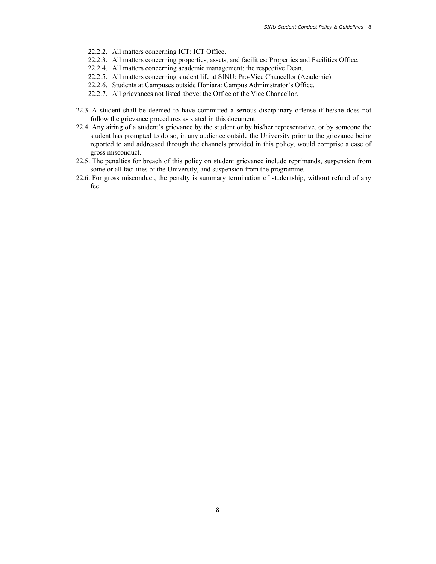- 22.2.2. All matters concerning ICT: ICT Office.
- 22.2.3. All matters concerning properties, assets, and facilities: Properties and Facilities Office.
- 22.2.4. All matters concerning academic management: the respective Dean.
- 22.2.5. All matters concerning student life at SINU: Pro-Vice Chancellor (Academic).
- 22.2.6. Students at Campuses outside Honiara: Campus Administrator's Office.
- 22.2.7. All grievances not listed above: the Office of the Vice Chancellor.
- 22.3. A student shall be deemed to have committed a serious disciplinary offense if he/she does not follow the grievance procedures as stated in this document.
- 22.4. Any airing of a student's grievance by the student or by his/her representative, or by someone the student has prompted to do so, in any audience outside the University prior to the grievance being reported to and addressed through the channels provided in this policy, would comprise a case of gross misconduct.
- 22.5. The penalties for breach of this policy on student grievance include reprimands, suspension from some or all facilities of the University, and suspension from the programme.
- 22.6. For gross misconduct, the penalty is summary termination of studentship, without refund of any fee.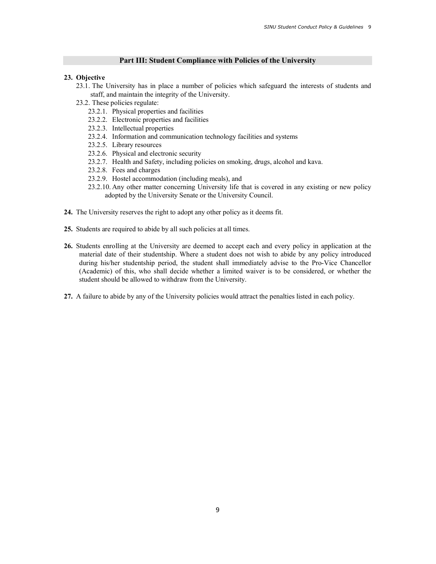## Part III: Student Compliance with Policies of the University

## 23. Objective

- 23.1. The University has in place a number of policies which safeguard the interests of students and staff, and maintain the integrity of the University.
- 23.2. These policies regulate:
	- 23.2.1. Physical properties and facilities
	- 23.2.2. Electronic properties and facilities
	- 23.2.3. Intellectual properties
	- 23.2.4. Information and communication technology facilities and systems
	- 23.2.5. Library resources
	- 23.2.6. Physical and electronic security
	- 23.2.7. Health and Safety, including policies on smoking, drugs, alcohol and kava.
	- 23.2.8. Fees and charges
	- 23.2.9. Hostel accommodation (including meals), and
	- 23.2.10. Any other matter concerning University life that is covered in any existing or new policy adopted by the University Senate or the University Council.
- 24. The University reserves the right to adopt any other policy as it deems fit.
- 25. Students are required to abide by all such policies at all times.
- 26. Students enrolling at the University are deemed to accept each and every policy in application at the material date of their studentship. Where a student does not wish to abide by any policy introduced during his/her studentship period, the student shall immediately advise to the Pro-Vice Chancellor (Academic) of this, who shall decide whether a limited waiver is to be considered, or whether the student should be allowed to withdraw from the University.
- 27. A failure to abide by any of the University policies would attract the penalties listed in each policy.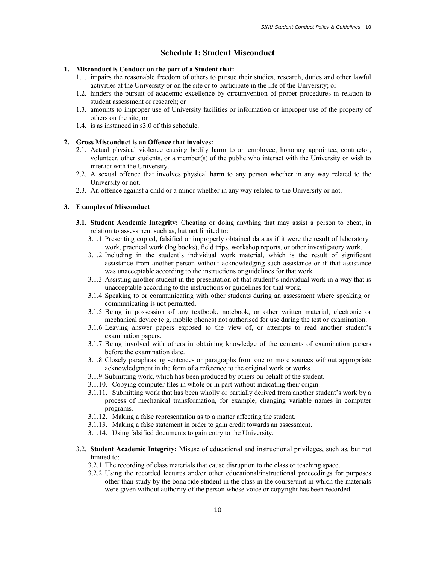## Schedule I: Student Misconduct

#### 1. Misconduct is Conduct on the part of a Student that:

- 1.1. impairs the reasonable freedom of others to pursue their studies, research, duties and other lawful activities at the University or on the site or to participate in the life of the University; or
- 1.2. hinders the pursuit of academic excellence by circumvention of proper procedures in relation to student assessment or research; or
- 1.3. amounts to improper use of University facilities or information or improper use of the property of others on the site; or
- 1.4. is as instanced in s3.0 of this schedule.

# 2. Gross Misconduct is an Offence that involves:

- 2.1. Actual physical violence causing bodily harm to an employee, honorary appointee, contractor, volunteer, other students, or a member(s) of the public who interact with the University or wish to interact with the University.
- 2.2. A sexual offence that involves physical harm to any person whether in any way related to the University or not.
- 2.3. An offence against a child or a minor whether in any way related to the University or not.

## 3. Examples of Misconduct

- 3.1. Student Academic Integrity: Cheating or doing anything that may assist a person to cheat, in relation to assessment such as, but not limited to:
	- 3.1.1.Presenting copied, falsified or improperly obtained data as if it were the result of laboratory work, practical work (log books), field trips, workshop reports, or other investigatory work.
	- 3.1.2.Including in the student's individual work material, which is the result of significant assistance from another person without acknowledging such assistance or if that assistance was unacceptable according to the instructions or guidelines for that work.
	- 3.1.3.Assisting another student in the presentation of that student's individual work in a way that is unacceptable according to the instructions or guidelines for that work.
	- 3.1.4.Speaking to or communicating with other students during an assessment where speaking or communicating is not permitted.
	- 3.1.5.Being in possession of any textbook, notebook, or other written material, electronic or mechanical device (e.g. mobile phones) not authorised for use during the test or examination.
	- 3.1.6.Leaving answer papers exposed to the view of, or attempts to read another student's examination papers.
	- 3.1.7.Being involved with others in obtaining knowledge of the contents of examination papers before the examination date.
	- 3.1.8.Closely paraphrasing sentences or paragraphs from one or more sources without appropriate acknowledgment in the form of a reference to the original work or works.
	- 3.1.9.Submitting work, which has been produced by others on behalf of the student.
	- 3.1.10. Copying computer files in whole or in part without indicating their origin.
	- 3.1.11. Submitting work that has been wholly or partially derived from another student's work by a process of mechanical transformation, for example, changing variable names in computer programs.
	- 3.1.12. Making a false representation as to a matter affecting the student.
	- 3.1.13. Making a false statement in order to gain credit towards an assessment.
	- 3.1.14. Using falsified documents to gain entry to the University.
- 3.2. Student Academic Integrity: Misuse of educational and instructional privileges, such as, but not limited to:
	- 3.2.1.The recording of class materials that cause disruption to the class or teaching space.
	- 3.2.2.Using the recorded lectures and/or other educational/instructional proceedings for purposes other than study by the bona fide student in the class in the course/unit in which the materials were given without authority of the person whose voice or copyright has been recorded.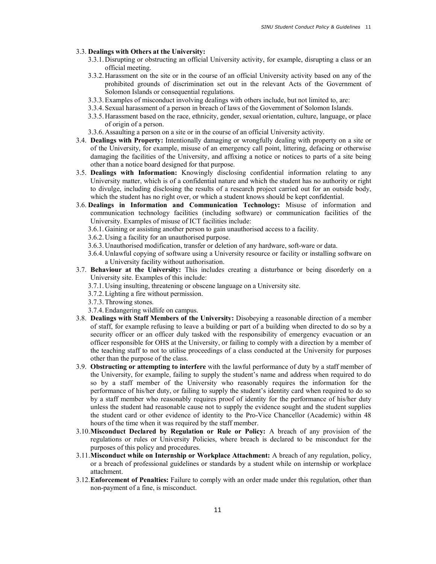#### 3.3. Dealings with Others at the University:

- 3.3.1.Disrupting or obstructing an official University activity, for example, disrupting a class or an official meeting.
- 3.3.2.Harassment on the site or in the course of an official University activity based on any of the prohibited grounds of discrimination set out in the relevant Acts of the Government of Solomon Islands or consequential regulations.
- 3.3.3.Examples of misconduct involving dealings with others include, but not limited to, are:
- 3.3.4.Sexual harassment of a person in breach of laws of the Government of Solomon Islands.
- 3.3.5.Harassment based on the race, ethnicity, gender, sexual orientation, culture, language, or place of origin of a person.
- 3.3.6.Assaulting a person on a site or in the course of an official University activity.
- 3.4. Dealings with Property: Intentionally damaging or wrongfully dealing with property on a site or of the University, for example, misuse of an emergency call point, littering, defacing or otherwise damaging the facilities of the University, and affixing a notice or notices to parts of a site being other than a notice board designed for that purpose.
- 3.5. Dealings with Information: Knowingly disclosing confidential information relating to any University matter, which is of a confidential nature and which the student has no authority or right to divulge, including disclosing the results of a research project carried out for an outside body, which the student has no right over, or which a student knows should be kept confidential.
- 3.6. Dealings in Information and Communication Technology: Misuse of information and communication technology facilities (including software) or communication facilities of the University. Examples of misuse of ICT facilities include:
	- 3.6.1.Gaining or assisting another person to gain unauthorised access to a facility.
	- 3.6.2.Using a facility for an unauthorised purpose.
	- 3.6.3.Unauthorised modification, transfer or deletion of any hardware, soft-ware or data.
	- 3.6.4.Unlawful copying of software using a University resource or facility or installing software on a University facility without authorisation.
- 3.7. Behaviour at the University: This includes creating a disturbance or being disorderly on a University site. Examples of this include:
	- 3.7.1.Using insulting, threatening or obscene language on a University site.
	- 3.7.2.Lighting a fire without permission.
	- 3.7.3.Throwing stones.
	- 3.7.4.Endangering wildlife on campus.
- 3.8. Dealings with Staff Members of the University: Disobeying a reasonable direction of a member of staff, for example refusing to leave a building or part of a building when directed to do so by a security officer or an officer duly tasked with the responsibility of emergency evacuation or an officer responsible for OHS at the University, or failing to comply with a direction by a member of the teaching staff to not to utilise proceedings of a class conducted at the University for purposes other than the purpose of the class.
- 3.9. Obstructing or attempting to interfere with the lawful performance of duty by a staff member of the University, for example, failing to supply the student's name and address when required to do so by a staff member of the University who reasonably requires the information for the performance of his/her duty, or failing to supply the student's identity card when required to do so by a staff member who reasonably requires proof of identity for the performance of his/her duty unless the student had reasonable cause not to supply the evidence sought and the student supplies the student card or other evidence of identity to the Pro-Vice Chancellor (Academic) within 48 hours of the time when it was required by the staff member.
- 3.10.Misconduct Declared by Regulation or Rule or Policy: A breach of any provision of the regulations or rules or University Policies, where breach is declared to be misconduct for the purposes of this policy and procedures.
- 3.11.Misconduct while on Internship or Workplace Attachment: A breach of any regulation, policy, or a breach of professional guidelines or standards by a student while on internship or workplace attachment.
- 3.12.Enforcement of Penalties: Failure to comply with an order made under this regulation, other than non-payment of a fine, is misconduct.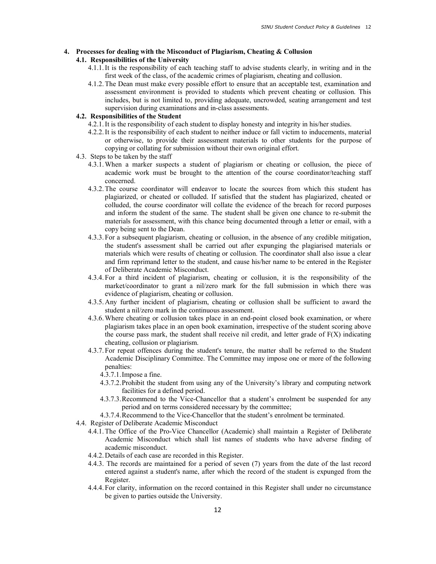## 4. Processes for dealing with the Misconduct of Plagiarism, Cheating & Collusion

## 4.1. Responsibilities of the University

- 4.1.1.It is the responsibility of each teaching staff to advise students clearly, in writing and in the first week of the class, of the academic crimes of plagiarism, cheating and collusion.
- 4.1.2.The Dean must make every possible effort to ensure that an acceptable test, examination and assessment environment is provided to students which prevent cheating or collusion. This includes, but is not limited to, providing adequate, uncrowded, seating arrangement and test supervision during examinations and in-class assessments.

## 4.2. Responsibilities of the Student

- 4.2.1.It is the responsibility of each student to display honesty and integrity in his/her studies.
- 4.2.2.It is the responsibility of each student to neither induce or fall victim to inducements, material or otherwise, to provide their assessment materials to other students for the purpose of copying or collating for submission without their own original effort.
- 4.3. Steps to be taken by the staff
	- 4.3.1.When a marker suspects a student of plagiarism or cheating or collusion, the piece of academic work must be brought to the attention of the course coordinator/teaching staff concerned.
	- 4.3.2.The course coordinator will endeavor to locate the sources from which this student has plagiarized, or cheated or colluded. If satisfied that the student has plagiarized, cheated or colluded, the course coordinator will collate the evidence of the breach for record purposes and inform the student of the same. The student shall be given one chance to re-submit the materials for assessment, with this chance being documented through a letter or email, with a copy being sent to the Dean.
	- 4.3.3.For a subsequent plagiarism, cheating or collusion, in the absence of any credible mitigation, the student's assessment shall be carried out after expunging the plagiarised materials or materials which were results of cheating or collusion. The coordinator shall also issue a clear and firm reprimand letter to the student, and cause his/her name to be entered in the Register of Deliberate Academic Misconduct.
	- 4.3.4.For a third incident of plagiarism, cheating or collusion, it is the responsibility of the market/coordinator to grant a nil/zero mark for the full submission in which there was evidence of plagiarism, cheating or collusion.
	- 4.3.5.Any further incident of plagiarism, cheating or collusion shall be sufficient to award the student a nil/zero mark in the continuous assessment.
	- 4.3.6.Where cheating or collusion takes place in an end-point closed book examination, or where plagiarism takes place in an open book examination, irrespective of the student scoring above the course pass mark, the student shall receive nil credit, and letter grade of  $F(X)$  indicating cheating, collusion or plagiarism.
	- 4.3.7.For repeat offences during the student's tenure, the matter shall be referred to the Student Academic Disciplinary Committee. The Committee may impose one or more of the following penalties:
		- 4.3.7.1.Impose a fine.
		- 4.3.7.2.Prohibit the student from using any of the University's library and computing network facilities for a defined period.
		- 4.3.7.3.Recommend to the Vice-Chancellor that a student's enrolment be suspended for any period and on terms considered necessary by the committee;
		- 4.3.7.4.Recommend to the Vice-Chancellor that the student's enrolment be terminated.
- 4.4. Register of Deliberate Academic Misconduct
	- 4.4.1.The Office of the Pro-Vice Chancellor (Academic) shall maintain a Register of Deliberate Academic Misconduct which shall list names of students who have adverse finding of academic misconduct.
	- 4.4.2.Details of each case are recorded in this Register.
	- 4.4.3. The records are maintained for a period of seven (7) years from the date of the last record entered against a student's name, after which the record of the student is expunged from the Register.
	- 4.4.4.For clarity, information on the record contained in this Register shall under no circumstance be given to parties outside the University.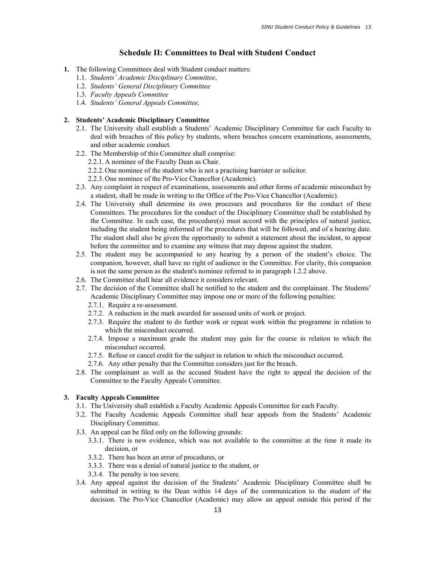## Schedule II: Committees to Deal with Student Conduct

- 1. The following Committees deal with Student conduct matters:
	- 1.1. Students' Academic Disciplinary Committee,
	- 1.2. Students' General Disciplinary Committee
	- 1.3. Faculty Appeals Committee
	- 1.4. Students' General Appeals Committee,

### 2. Students' Academic Disciplinary Committee

- 2.1. The University shall establish a Students' Academic Disciplinary Committee for each Faculty to deal with breaches of this policy by students, where breaches concern examinations, assessments, and other academic conduct.
- 2.2. The Membership of this Committee shall comprise:
	- 2.2.1.A nominee of the Faculty Dean as Chair.
	- 2.2.2.One nominee of the student who is not a practising barrister or solicitor.
	- 2.2.3.One nominee of the Pro-Vice Chancellor (Academic).
- 2.3. Any complaint in respect of examinations, assessments and other forms of academic misconduct by a student, shall be made in writing to the Office of the Pro-Vice Chancellor (Academic).
- 2.4. The University shall determine its own processes and procedures for the conduct of these Committees. The procedures for the conduct of the Disciplinary Committee shall be established by the Committee. In each case, the procedure(s) must accord with the principles of natural justice, including the student being informed of the procedures that will be followed, and of a hearing date. The student shall also be given the opportunity to submit a statement about the incident, to appear before the committee and to examine any witness that may depose against the student.
- 2.5. The student may be accompanied to any hearing by a person of the student's choice. The companion, however, shall have no right of audience in the Committee. For clarity, this companion is not the same person as the student's nominee referred to in paragraph 1.2.2 above.
- 2.6. The Committee shall hear all evidence it considers relevant.
- 2.7. The decision of the Committee shall be notified to the student and the complainant. The Students' Academic Disciplinary Committee may impose one or more of the following penalties:
	- 2.7.1. Require a re-assessment.
	- 2.7.2. A reduction in the mark awarded for assessed units of work or project.
	- 2.7.3. Require the student to do further work or repeat work within the programme in relation to which the misconduct occurred.
	- 2.7.4. Impose a maximum grade the student may gain for the course in relation to which the misconduct occurred.
	- 2.7.5. Refuse or cancel credit for the subject in relation to which the misconduct occurred.
	- 2.7.6. Any other penalty that the Committee considers just for the breach.
- 2.8. The complainant as well as the accused Student have the right to appeal the decision of the Committee to the Faculty Appeals Committee.

## 3. Faculty Appeals Committee

- 3.1. The University shall establish a Faculty Academic Appeals Committee for each Faculty.
- 3.2. The Faculty Academic Appeals Committee shall hear appeals from the Students' Academic Disciplinary Committee.
- 3.3. An appeal can be filed only on the following grounds:
	- 3.3.1. There is new evidence, which was not available to the committee at the time it made its decision, or
	- 3.3.2. There has been an error of procedures, or
	- 3.3.3. There was a denial of natural justice to the student, or
	- 3.3.4. The penalty is too severe.
- 3.4. Any appeal against the decision of the Students' Academic Disciplinary Committee shall be submitted in writing to the Dean within 14 days of the communication to the student of the decision. The Pro-Vice Chancellor (Academic) may allow an appeal outside this period if the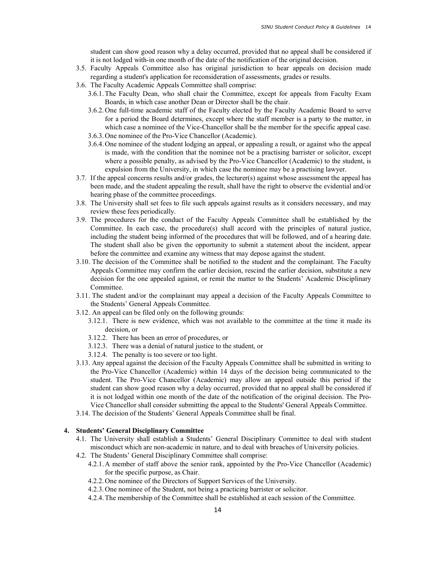student can show good reason why a delay occurred, provided that no appeal shall be considered if it is not lodged with-in one month of the date of the notification of the original decision.

- 3.5. Faculty Appeals Committee also has original jurisdiction to hear appeals on decision made regarding a student's application for reconsideration of assessments, grades or results.
- 3.6. The Faculty Academic Appeals Committee shall comprise:
	- 3.6.1.The Faculty Dean, who shall chair the Committee, except for appeals from Faculty Exam Boards, in which case another Dean or Director shall be the chair.
	- 3.6.2.One full-time academic staff of the Faculty elected by the Faculty Academic Board to serve for a period the Board determines, except where the staff member is a party to the matter, in which case a nominee of the Vice-Chancellor shall be the member for the specific appeal case.
	- 3.6.3.One nominee of the Pro-Vice Chancellor (Academic).
	- 3.6.4.One nominee of the student lodging an appeal, or appealing a result, or against who the appeal is made, with the condition that the nominee not be a practising barrister or solicitor, except where a possible penalty, as advised by the Pro-Vice Chancellor (Academic) to the student, is expulsion from the University, in which case the nominee may be a practising lawyer.
- 3.7. If the appeal concerns results and/or grades, the lecturer(s) against whose assessment the appeal has been made, and the student appealing the result, shall have the right to observe the evidential and/or hearing phase of the committee proceedings.
- 3.8. The University shall set fees to file such appeals against results as it considers necessary, and may review these fees periodically.
- 3.9. The procedures for the conduct of the Faculty Appeals Committee shall be established by the Committee. In each case, the procedure(s) shall accord with the principles of natural justice, including the student being informed of the procedures that will be followed, and of a hearing date. The student shall also be given the opportunity to submit a statement about the incident, appear before the committee and examine any witness that may depose against the student.
- 3.10. The decision of the Committee shall be notified to the student and the complainant. The Faculty Appeals Committee may confirm the earlier decision, rescind the earlier decision, substitute a new decision for the one appealed against, or remit the matter to the Students' Academic Disciplinary Committee.
- 3.11. The student and/or the complainant may appeal a decision of the Faculty Appeals Committee to the Students' General Appeals Committee.
- 3.12. An appeal can be filed only on the following grounds:
	- 3.12.1. There is new evidence, which was not available to the committee at the time it made its decision, or
	- 3.12.2. There has been an error of procedures, or
	- 3.12.3. There was a denial of natural justice to the student, or
	- 3.12.4. The penalty is too severe or too light.
- 3.13. Any appeal against the decision of the Faculty Appeals Committee shall be submitted in writing to the Pro-Vice Chancellor (Academic) within 14 days of the decision being communicated to the student. The Pro-Vice Chancellor (Academic) may allow an appeal outside this period if the student can show good reason why a delay occurred, provided that no appeal shall be considered if it is not lodged within one month of the date of the notification of the original decision. The Pro-Vice Chancellor shall consider submitting the appeal to the Students' General Appeals Committee.
- 3.14. The decision of the Students' General Appeals Committee shall be final.

### 4. Students' General Disciplinary Committee

- 4.1. The University shall establish a Students' General Disciplinary Committee to deal with student misconduct which are non-academic in nature, and to deal with breaches of University policies.
- 4.2. The Students' General Disciplinary Committee shall comprise:
	- 4.2.1.A member of staff above the senior rank, appointed by the Pro-Vice Chancellor (Academic) for the specific purpose, as Chair.
	- 4.2.2.One nominee of the Directors of Support Services of the University.
	- 4.2.3.One nominee of the Student, not being a practicing barrister or solicitor.
	- 4.2.4.The membership of the Committee shall be established at each session of the Committee.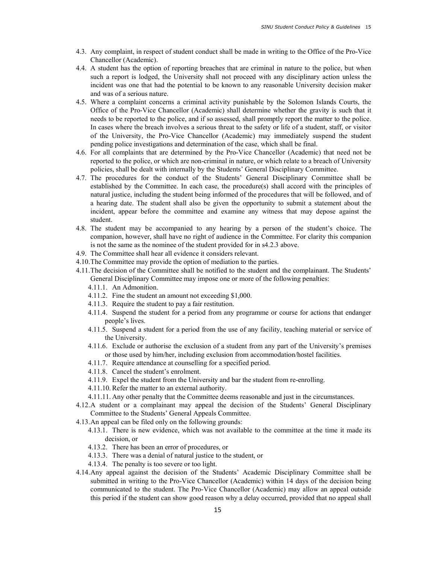- 4.3. Any complaint, in respect of student conduct shall be made in writing to the Office of the Pro-Vice Chancellor (Academic).
- 4.4. A student has the option of reporting breaches that are criminal in nature to the police, but when such a report is lodged, the University shall not proceed with any disciplinary action unless the incident was one that had the potential to be known to any reasonable University decision maker and was of a serious nature.
- 4.5. Where a complaint concerns a criminal activity punishable by the Solomon Islands Courts, the Office of the Pro-Vice Chancellor (Academic) shall determine whether the gravity is such that it needs to be reported to the police, and if so assessed, shall promptly report the matter to the police. In cases where the breach involves a serious threat to the safety or life of a student, staff, or visitor of the University, the Pro-Vice Chancellor (Academic) may immediately suspend the student pending police investigations and determination of the case, which shall be final.
- 4.6. For all complaints that are determined by the Pro-Vice Chancellor (Academic) that need not be reported to the police, or which are non-criminal in nature, or which relate to a breach of University policies, shall be dealt with internally by the Students' General Disciplinary Committee.
- 4.7. The procedures for the conduct of the Students' General Disciplinary Committee shall be established by the Committee. In each case, the procedure(s) shall accord with the principles of natural justice, including the student being informed of the procedures that will be followed, and of a hearing date. The student shall also be given the opportunity to submit a statement about the incident, appear before the committee and examine any witness that may depose against the student.
- 4.8. The student may be accompanied to any hearing by a person of the student's choice. The companion, however, shall have no right of audience in the Committee. For clarity this companion is not the same as the nominee of the student provided for in s4.2.3 above.
- 4.9. The Committee shall hear all evidence it considers relevant.
- 4.10.The Committee may provide the option of mediation to the parties.
- 4.11.The decision of the Committee shall be notified to the student and the complainant. The Students' General Disciplinary Committee may impose one or more of the following penalties:
	- 4.11.1. An Admonition.
	- 4.11.2. Fine the student an amount not exceeding \$1,000.
	- 4.11.3. Require the student to pay a fair restitution.
	- 4.11.4. Suspend the student for a period from any programme or course for actions that endanger people's lives.
	- 4.11.5. Suspend a student for a period from the use of any facility, teaching material or service of the University.
	- 4.11.6. Exclude or authorise the exclusion of a student from any part of the University's premises or those used by him/her, including exclusion from accommodation/hostel facilities.
	- 4.11.7. Require attendance at counselling for a specified period.
	- 4.11.8. Cancel the student's enrolment.
	- 4.11.9. Expel the student from the University and bar the student from re-enrolling.
	- 4.11.10. Refer the matter to an external authority.
	- 4.11.11. Any other penalty that the Committee deems reasonable and just in the circumstances.
- 4.12.A student or a complainant may appeal the decision of the Students' General Disciplinary Committee to the Students' General Appeals Committee.
- 4.13.An appeal can be filed only on the following grounds:
	- 4.13.1. There is new evidence, which was not available to the committee at the time it made its decision, or
	- 4.13.2. There has been an error of procedures, or
	- 4.13.3. There was a denial of natural justice to the student, or
	- 4.13.4. The penalty is too severe or too light.
- 4.14.Any appeal against the decision of the Students' Academic Disciplinary Committee shall be submitted in writing to the Pro-Vice Chancellor (Academic) within 14 days of the decision being communicated to the student. The Pro-Vice Chancellor (Academic) may allow an appeal outside this period if the student can show good reason why a delay occurred, provided that no appeal shall